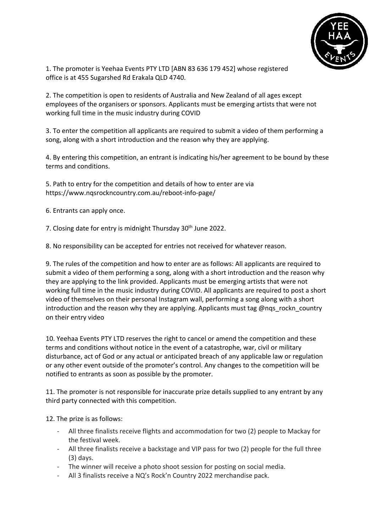

1. The promoter is Yeehaa Events PTY LTD [ABN 83 636 179 452] whose registered office is at 455 Sugarshed Rd Erakala QLD 4740.

2. The competition is open to residents of Australia and New Zealand of all ages except employees of the organisers or sponsors. Applicants must be emerging artists that were not working full time in the music industry during COVID

3. To enter the competition all applicants are required to submit a video of them performing a song, along with a short introduction and the reason why they are applying.

4. By entering this competition, an entrant is indicating his/her agreement to be bound by these terms and conditions.

5. Path to entry for the competition and details of how to enter are via https://www.nqsrockncountry.com.au/reboot-info-page/

6. Entrants can apply once.

7. Closing date for entry is midnight Thursday 30<sup>th</sup> June 2022.

8. No responsibility can be accepted for entries not received for whatever reason.

9. The rules of the competition and how to enter are as follows: All applicants are required to submit a video of them performing a song, along with a short introduction and the reason why they are applying to the link provided. Applicants must be emerging artists that were not working full time in the music industry during COVID. All applicants are required to post a short video of themselves on their personal Instagram wall, performing a song along with a short introduction and the reason why they are applying. Applicants must tag @nqs\_rockn\_country on their entry video

10. Yeehaa Events PTY LTD reserves the right to cancel or amend the competition and these terms and conditions without notice in the event of a catastrophe, war, civil or military disturbance, act of God or any actual or anticipated breach of any applicable law or regulation or any other event outside of the promoter's control. Any changes to the competition will be notified to entrants as soon as possible by the promoter.

11. The promoter is not responsible for inaccurate prize details supplied to any entrant by any third party connected with this competition.

12. The prize is as follows:

- All three finalists receive flights and accommodation for two (2) people to Mackay for the festival week.
- All three finalists receive a backstage and VIP pass for two (2) people for the full three (3) days.
- The winner will receive a photo shoot session for posting on social media.
- All 3 finalists receive a NQ's Rock'n Country 2022 merchandise pack.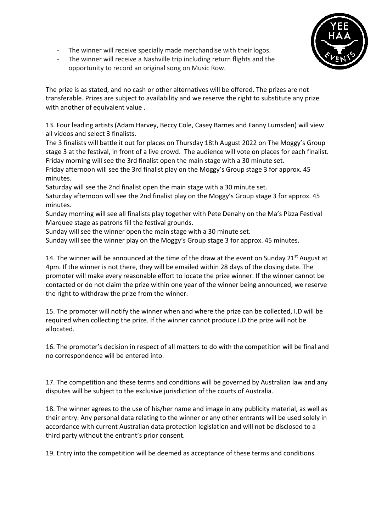- 
- The winner will receive specially made merchandise with their logos.
- The winner will receive a Nashville trip including return flights and the opportunity to record an original song on Music Row.

The prize is as stated, and no cash or other alternatives will be offered. The prizes are not transferable. Prizes are subject to availability and we reserve the right to substitute any prize with another of equivalent value .

13. Four leading artists (Adam Harvey, Beccy Cole, Casey Barnes and Fanny Lumsden) will view all videos and select 3 finalists.

The 3 finalists will battle it out for places on Thursday 18th August 2022 on The Moggy's Group stage 3 at the festival, in front of a live crowd. The audience will vote on places for each finalist. Friday morning will see the 3rd finalist open the main stage with a 30 minute set.

Friday afternoon will see the 3rd finalist play on the Moggy's Group stage 3 for approx. 45 minutes.

Saturday will see the 2nd finalist open the main stage with a 30 minute set. Saturday afternoon will see the 2nd finalist play on the Moggy's Group stage 3 for approx. 45 minutes.

Sunday morning will see all finalists play together with Pete Denahy on the Ma's Pizza Festival Marquee stage as patrons fill the festival grounds.

Sunday will see the winner open the main stage with a 30 minute set.

Sunday will see the winner play on the Moggy's Group stage 3 for approx. 45 minutes.

14. The winner will be announced at the time of the draw at the event on Sunday 21<sup>st</sup> August at 4pm. If the winner is not there, they will be emailed within 28 days of the closing date. The promoter will make every reasonable effort to locate the prize winner. If the winner cannot be contacted or do not claim the prize within one year of the winner being announced, we reserve the right to withdraw the prize from the winner.

15. The promoter will notify the winner when and where the prize can be collected, I.D will be required when collecting the prize. If the winner cannot produce I.D the prize will not be allocated.

16. The promoter's decision in respect of all matters to do with the competition will be final and no correspondence will be entered into.

17. The competition and these terms and conditions will be governed by Australian law and any disputes will be subject to the exclusive jurisdiction of the courts of Australia.

18. The winner agrees to the use of his/her name and image in any publicity material, as well as their entry. Any personal data relating to the winner or any other entrants will be used solely in accordance with current Australian data protection legislation and will not be disclosed to a third party without the entrant's prior consent.

19. Entry into the competition will be deemed as acceptance of these terms and conditions.